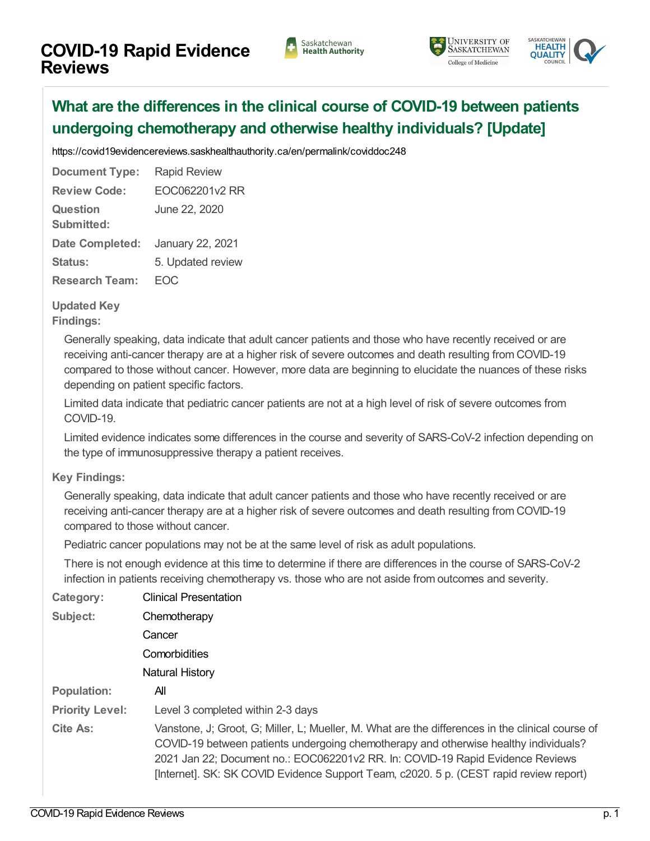





## **What are the differences in the clinical course of COVID-19 between patients undergoing [chemotherapy](https://covid19evidencereviews.saskhealthauthority.ca/en/viewer?file=%252fmedia%252fCOVID%252fEOC062201v2%20RR.pdf#search=id%253acoviddoc248&phrase=false&pagemode=bookmarks) and otherwise healthy individuals? [Update]**

<https://covid19evidencereviews.saskhealthauthority.ca/en/permalink/coviddoc248>

**Document Type:** Rapid Review **Review Code:** EOC062201v2 RR **Question Submitted:** June 22, 2020 **Date Completed:** January 22, 2021 Status: 5. Updated review **Research Team:** EOC

**Category:** Clinical [Presentation](https://covid19evidencereviews.saskhealthauthority.ca/en/list?q=topic%253a%2522Clinical+Presentation%2522&p=1&ps=&sort=title_sort+asc)

## **Updated Key**

**Findings:**

Generally speaking, data indicate that adult cancer patients and those who have recently received or are receiving anti-cancer therapy are at a higher risk of severe outcomes and death resulting from COVID-19 compared to those without cancer. However, more data are beginning to elucidate the nuances of these risks depending on patient specific factors.

Limited data indicate that pediatric cancer patients are not at a high level of risk of severe outcomes from COVID-19.

Limited evidence indicates some differences in the course and severity of SARS-CoV-2 infection depending on the type of immunosuppressive therapy a patient receives.

## **Key Findings:**

Generally speaking, data indicate that adult cancer patients and those who have recently received or are receiving anti-cancer therapy are at a higher risk of severe outcomes and death resulting from COVID-19 compared to those without cancer.

Pediatric cancer populations may not be at the same level of risk as adult populations.

There is not enough evidence at this time to determine if there are differences in the course of SARS-CoV-2 infection in patients receiving chemotherapy vs. those who are not aside from outcomes and severity.

| <b>VALCYOLY.</b>       | OIIHOUH FICOCHLUIDH                                                                                                                                                                                                                                                                                                                                                  |
|------------------------|----------------------------------------------------------------------------------------------------------------------------------------------------------------------------------------------------------------------------------------------------------------------------------------------------------------------------------------------------------------------|
| Subject:               | Chemotherapy                                                                                                                                                                                                                                                                                                                                                         |
|                        | Cancer                                                                                                                                                                                                                                                                                                                                                               |
|                        | Comorbidities                                                                                                                                                                                                                                                                                                                                                        |
|                        | Natural History                                                                                                                                                                                                                                                                                                                                                      |
| <b>Population:</b>     | All                                                                                                                                                                                                                                                                                                                                                                  |
| <b>Priority Level:</b> | Level 3 completed within 2-3 days                                                                                                                                                                                                                                                                                                                                    |
| Cite As:               | Vanstone, J; Groot, G; Miller, L; Mueller, M. What are the differences in the clinical course of<br>COVID-19 between patients undergoing chemotherapy and otherwise healthy individuals?<br>2021 Jan 22; Document no.: EOC062201v2 RR. In: COVID-19 Rapid Evidence Reviews<br>[Internet]. SK: SK COVID Evidence Support Team, c2020. 5 p. (CEST rapid review report) |